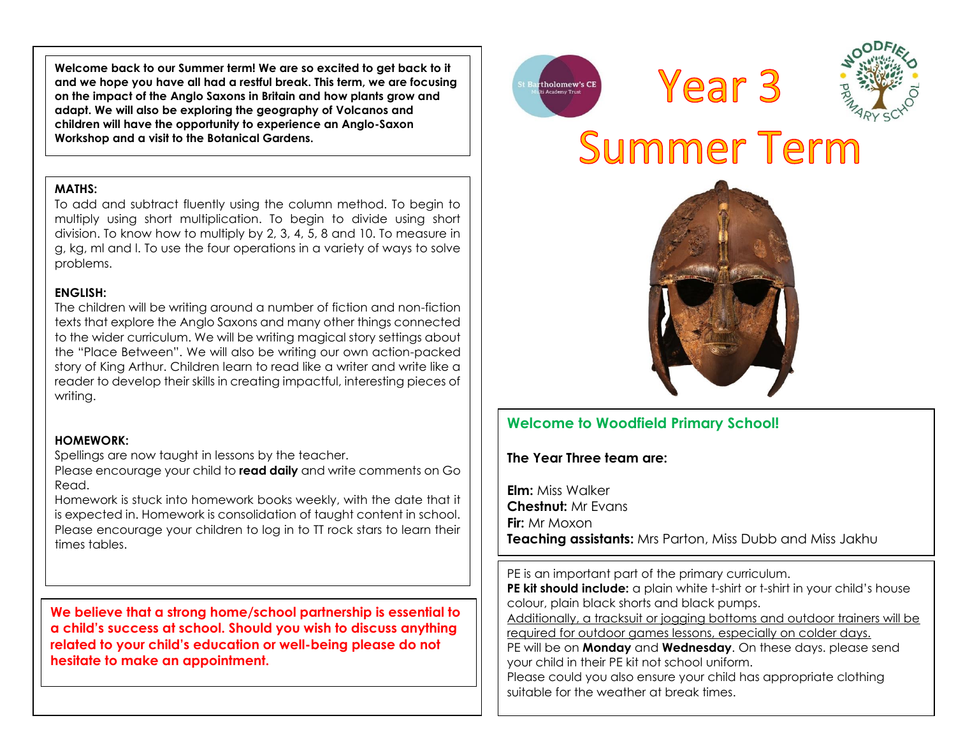**Welcome back to our Summer term! We are so excited to get back to it and we hope you have all had a restful break. This term, we are focusing on the impact of the Anglo Saxons in Britain and how plants grow and adapt. We will also be exploring the geography of Volcanos and children will have the opportunity to experience an Anglo-Saxon Workshop and a visit to the Botanical Gardens.** 

#### **MATHS:**

To add and subtract fluently using the column method. To begin to multiply using short multiplication. To begin to divide using short division. To know how to multiply by 2, 3, 4, 5, 8 and 10. To measure in g, kg, ml and l. To use the four operations in a variety of ways to solve problems.

#### **ENGLISH:**

The children will be writing around a number of fiction and non-fiction texts that explore the Anglo Saxons and many other things connected to the wider curriculum. We will be writing magical story settings about the "Place Between". We will also be writing our own action-packed story of King Arthur. Children learn to read like a writer and write like a reader to develop their skills in creating impactful, interesting pieces of writing.

#### **HOMEWORK:**

Spellings are now taught in lessons by the teacher.

Please encourage your child to **read daily** and write comments on Go Read.

Homework is stuck into homework books weekly, with the date that it is expected in. Homework is consolidation of taught content in school. Please encourage your children to log in to TT rock stars to learn their times tables.

**We believe that a strong home/school partnership is essential to a child's success at school. Should you wish to discuss anything related to your child's education or well-being please do not hesitate to make an appointment.**







# Summer Term



# **Welcome to Woodfield Primary School!**

**The Year Three team are:**

**Elm:** Miss Walker **Chestnut:** Mr Evans **Fir:** Mr Moxon **Teaching assistants:** Mrs Parton, Miss Dubb and Miss Jakhu

PE is an important part of the primary curriculum.

**PE kit should include:** a plain white t-shirt or t-shirt in your child's house colour, plain black shorts and black pumps.

Additionally, a tracksuit or jogging bottoms and outdoor trainers will be required for outdoor games lessons, especially on colder days.

PE will be on **Monday** and **Wednesday**. On these days. please send your child in their PE kit not school uniform.

Please could you also ensure your child has appropriate clothing suitable for the weather at break times.